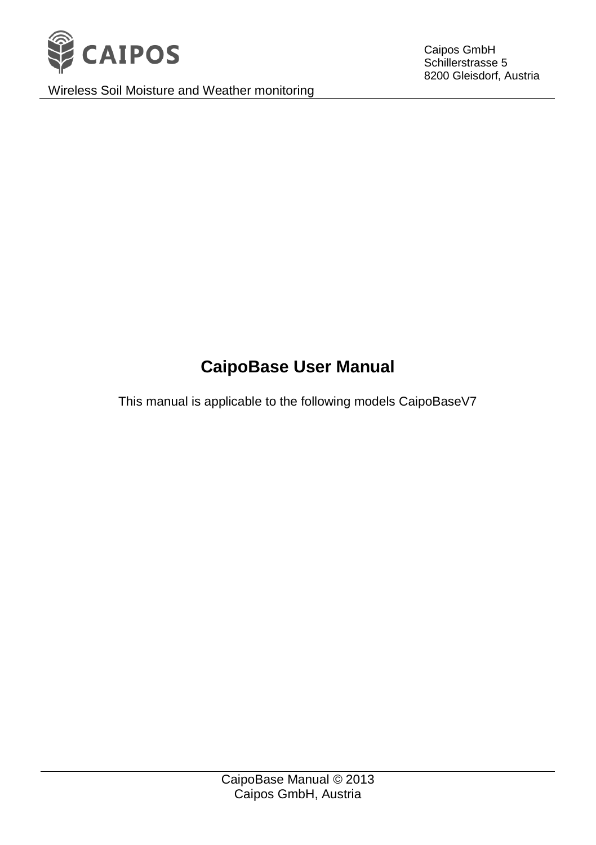

Wireless Soil Moisture and Weather monitoring

Caipos GmbH Schillerstrasse 5 8200 Gleisdorf, Austria

# **CaipoBase User Manual**

This manual is applicable to the following models CaipoBaseV7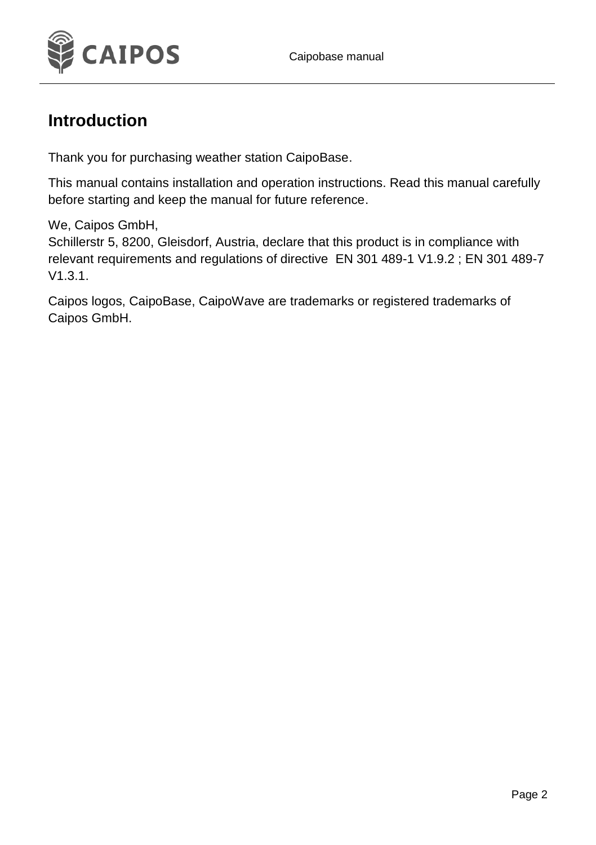

#### **Introduction**

Thank you for purchasing weather station CaipoBase.

This manual contains installation and operation instructions. Read this manual carefully before starting and keep the manual for future reference.

We, Caipos GmbH,

Schillerstr 5, 8200, Gleisdorf, Austria, declare that this product is in compliance with relevant requirements and regulations of directive EN 301 489-1 V1.9.2 ; EN 301 489-7 V1.3.1.

Caipos logos, CaipoBase, CaipoWave are trademarks or registered trademarks of Caipos GmbH.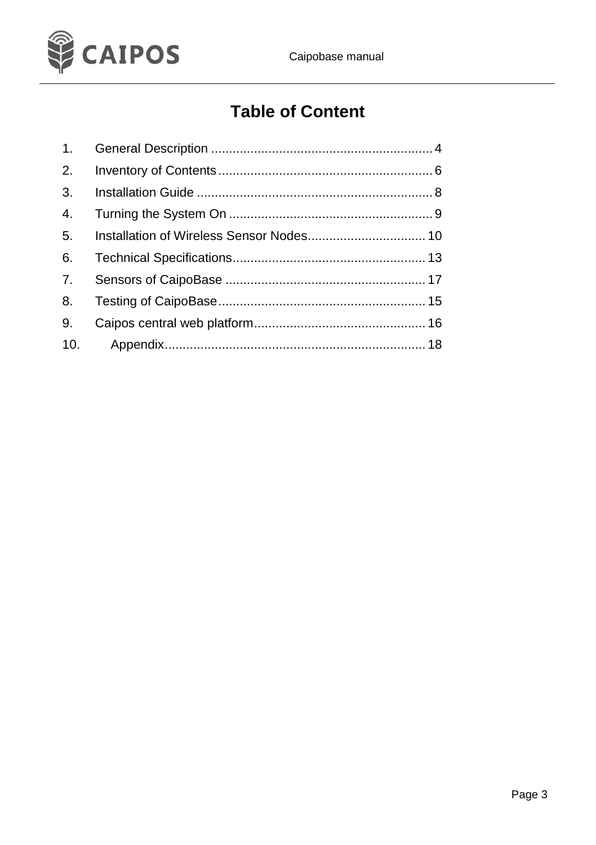

## **Table of Content**

| 1.             |  |
|----------------|--|
| 2.             |  |
| 3.             |  |
| $\mathbf{4}$ . |  |
| 5.             |  |
| 6.             |  |
| 7 <sub>1</sub> |  |
| 8.             |  |
| 9.             |  |
| 10.            |  |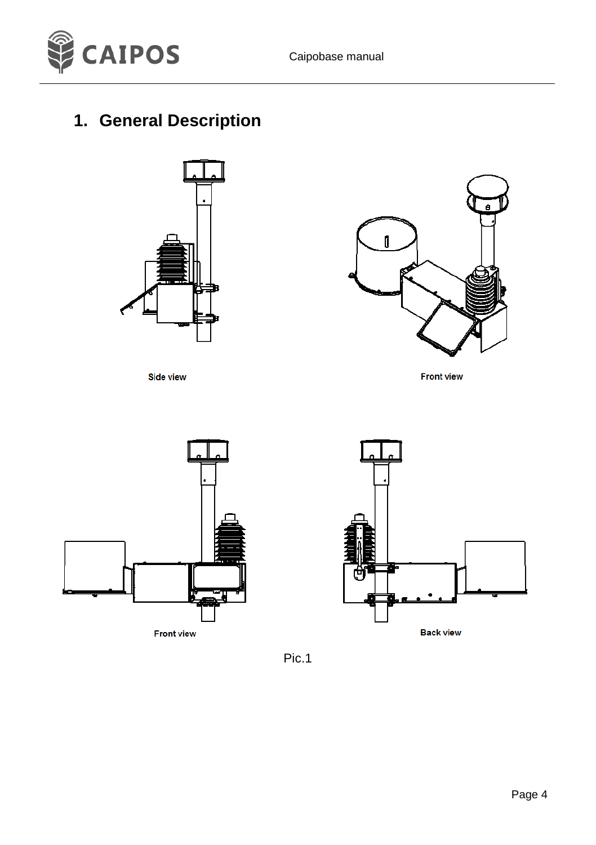

### <span id="page-3-0"></span>**1. General Description**



**Side view** 



**Front view** 



**Front view** 



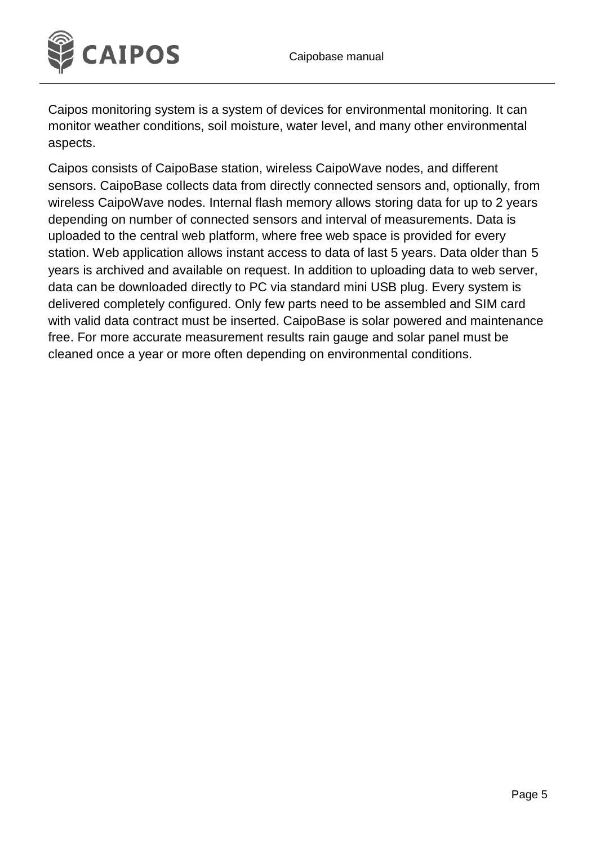

Caipos monitoring system is a system of devices for environmental monitoring. It can monitor weather conditions, soil moisture, water level, and many other environmental aspects.

Caipos consists of CaipoBase station, wireless CaipoWave nodes, and different sensors. CaipoBase collects data from directly connected sensors and, optionally, from wireless CaipoWave nodes. Internal flash memory allows storing data for up to 2 years depending on number of connected sensors and interval of measurements. Data is uploaded to the central web platform, where free web space is provided for every station. Web application allows instant access to data of last 5 years. Data older than 5 years is archived and available on request. In addition to uploading data to web server, data can be downloaded directly to PC via standard mini USB plug. Every system is delivered completely configured. Only few parts need to be assembled and SIM card with valid data contract must be inserted. CaipoBase is solar powered and maintenance free. For more accurate measurement results rain gauge and solar panel must be cleaned once a year or more often depending on environmental conditions.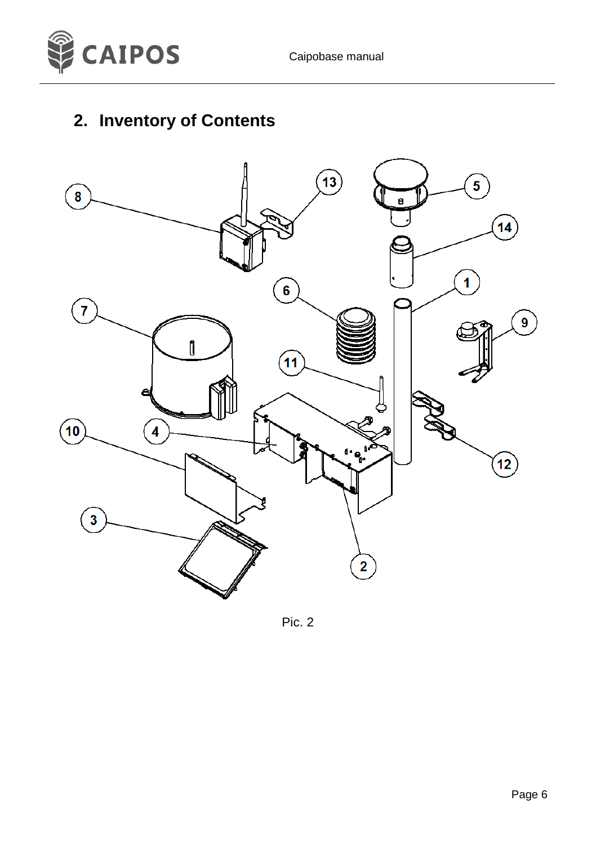

# <span id="page-5-0"></span>**2. Inventory of Contents**



Pic. 2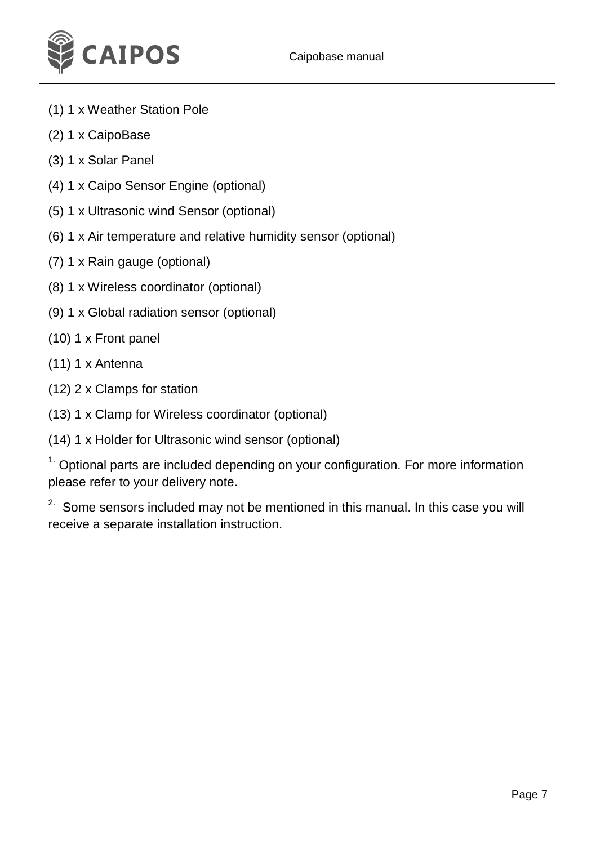

- (1) 1 x Weather Station Pole
- (2) 1 x CaipoBase
- (3) 1 x Solar Panel
- (4) 1 x Caipo Sensor Engine (optional)
- (5) 1 x Ultrasonic wind Sensor (optional)
- (6) 1 x Air temperature and relative humidity sensor (optional)
- (7) 1 x Rain gauge (optional)
- (8) 1 x Wireless coordinator (optional)
- (9) 1 x Global radiation sensor (optional)
- (10) 1 x Front panel
- (11) 1 x Antenna
- (12) 2 x Clamps for station
- (13) 1 x Clamp for Wireless coordinator (optional)
- (14) 1 x Holder for Ultrasonic wind sensor (optional)

 $1$ . Optional parts are included depending on your configuration. For more information please refer to your delivery note.

<sup>2.</sup> Some sensors included may not be mentioned in this manual. In this case you will receive a separate installation instruction.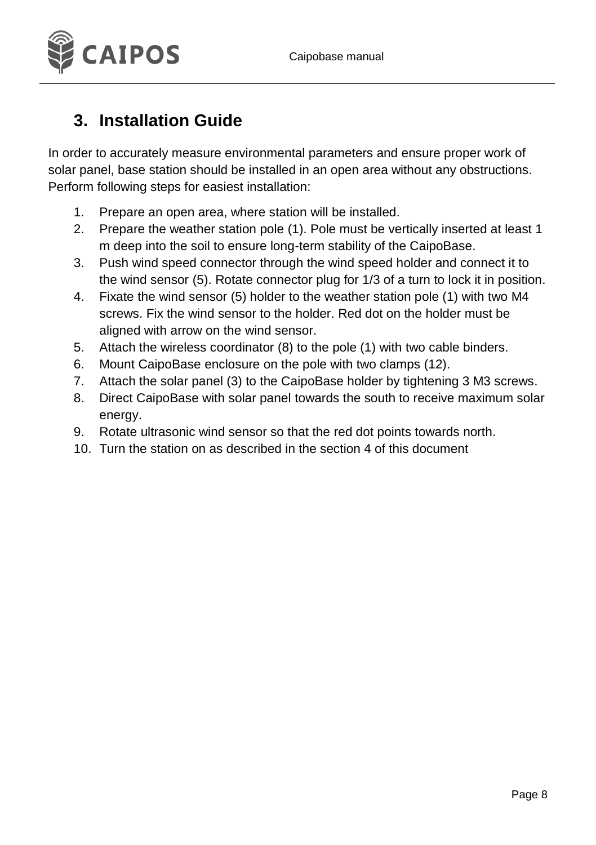

### <span id="page-7-0"></span>**3. Installation Guide**

In order to accurately measure environmental parameters and ensure proper work of solar panel, base station should be installed in an open area without any obstructions. Perform following steps for easiest installation:

- 1. Prepare an open area, where station will be installed.
- 2. Prepare the weather station pole (1). Pole must be vertically inserted at least 1 m deep into the soil to ensure long-term stability of the CaipoBase.
- 3. Push wind speed connector through the wind speed holder and connect it to the wind sensor (5). Rotate connector plug for 1/3 of a turn to lock it in position.
- 4. Fixate the wind sensor (5) holder to the weather station pole (1) with two M4 screws. Fix the wind sensor to the holder. Red dot on the holder must be aligned with arrow on the wind sensor.
- 5. Attach the wireless coordinator (8) to the pole (1) with two cable binders.
- 6. Mount CaipoBase enclosure on the pole with two clamps (12).
- 7. Attach the solar panel (3) to the CaipoBase holder by tightening 3 M3 screws.
- 8. Direct CaipoBase with solar panel towards the south to receive maximum solar energy.
- 9. Rotate ultrasonic wind sensor so that the red dot points towards north.
- 10. Turn the station on as described in the section 4 of this document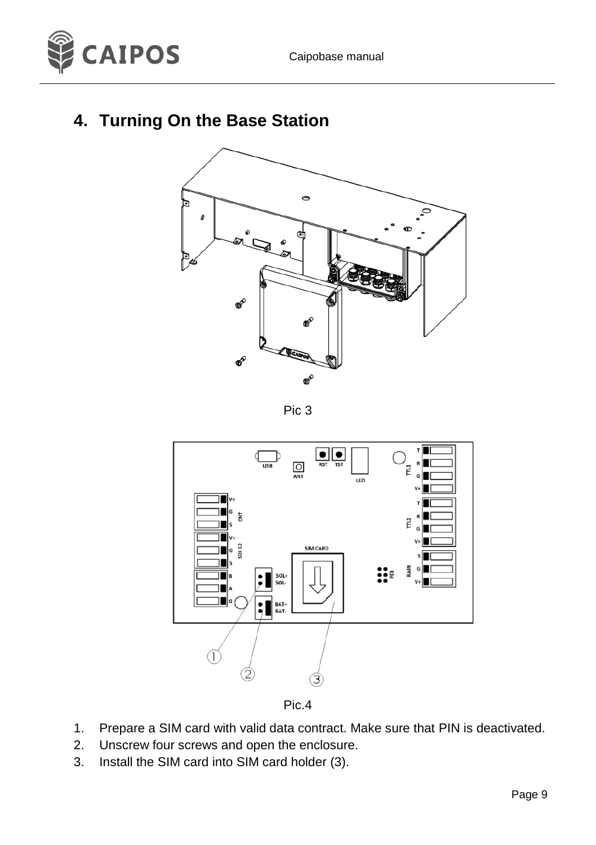

### <span id="page-8-0"></span>**4. Turning On the Base Station**



Pic 3



Pic.4

- 1. Prepare a SIM card with valid data contract. Make sure that PIN is deactivated.
- 2. Unscrew four screws and open the enclosure.
- 3. Install the SIM card into SIM card holder (3).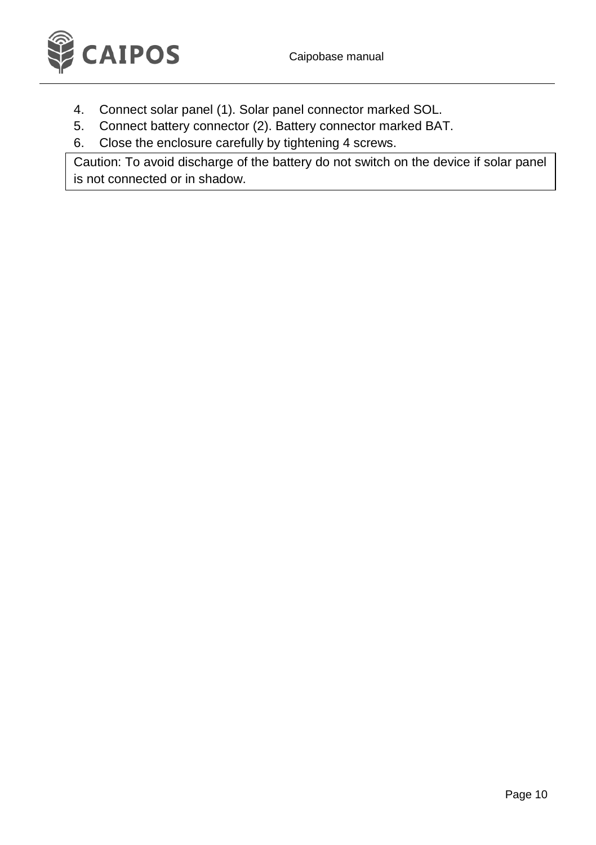

- 4. Connect solar panel (1). Solar panel connector marked SOL.
- 5. Connect battery connector (2). Battery connector marked BAT.
- 6. Close the enclosure carefully by tightening 4 screws.

<span id="page-9-0"></span>Caution: To avoid discharge of the battery do not switch on the device if solar panel is not connected or in shadow.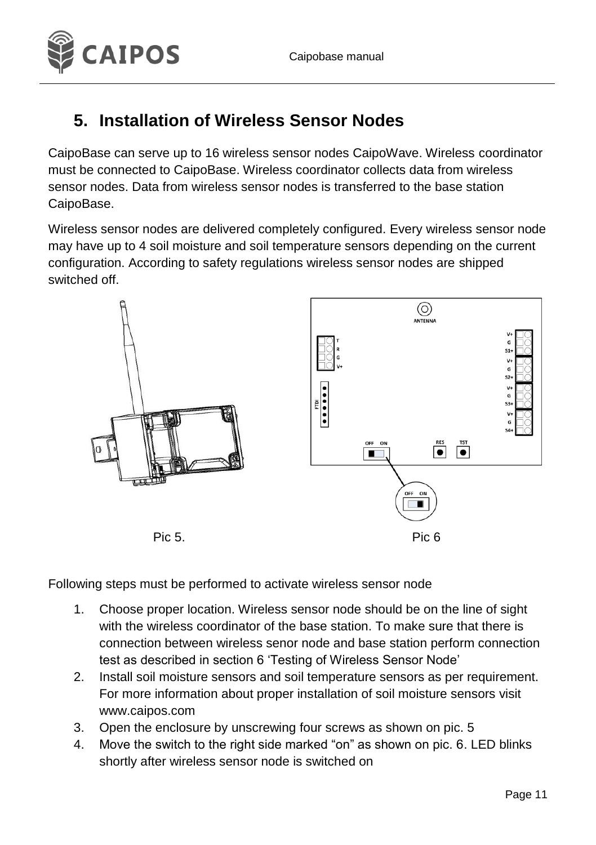

### **5. Installation of Wireless Sensor Nodes**

CaipoBase can serve up to 16 wireless sensor nodes CaipoWave. Wireless coordinator must be connected to CaipoBase. Wireless coordinator collects data from wireless sensor nodes. Data from wireless sensor nodes is transferred to the base station CaipoBase.

Wireless sensor nodes are delivered completely configured. Every wireless sensor node may have up to 4 soil moisture and soil temperature sensors depending on the current configuration. According to safety regulations wireless sensor nodes are shipped switched off.



Following steps must be performed to activate wireless sensor node

- 1. Choose proper location. Wireless sensor node should be on the line of sight with the wireless coordinator of the base station. To make sure that there is connection between wireless senor node and base station perform connection test as described in section 6 'Testing of Wireless Sensor Node'
- 2. Install soil moisture sensors and soil temperature sensors as per requirement. For more information about proper installation of soil moisture sensors visit www.caipos.com
- 3. Open the enclosure by unscrewing four screws as shown on pic. 5
- 4. Move the switch to the right side marked "on" as shown on pic. 6. LED blinks shortly after wireless sensor node is switched on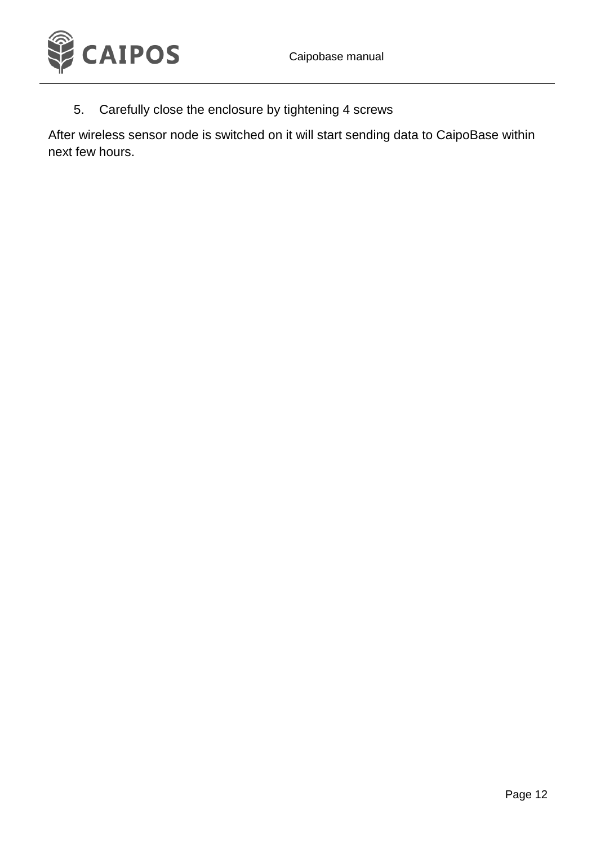

5. Carefully close the enclosure by tightening 4 screws

After wireless sensor node is switched on it will start sending data to CaipoBase within next few hours.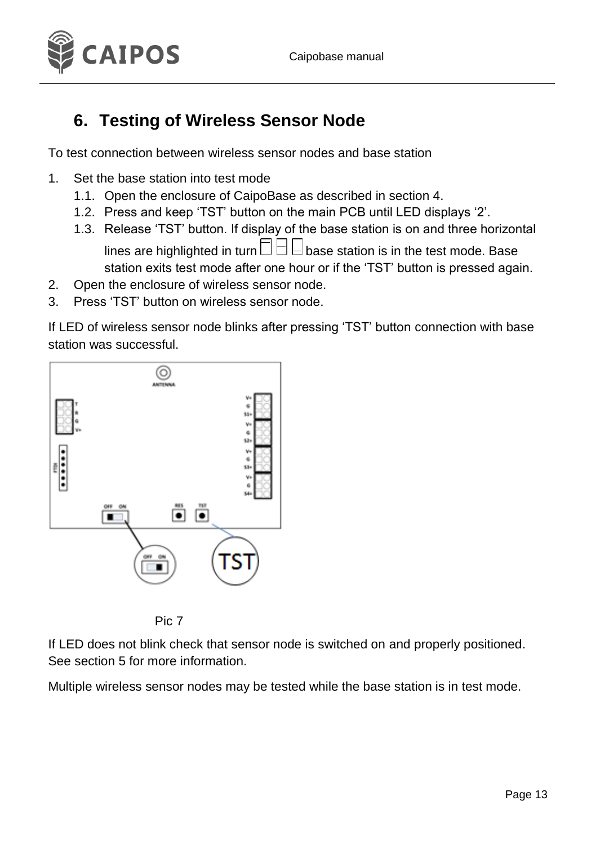

### <span id="page-12-0"></span>**6. Testing of Wireless Sensor Node**

To test connection between wireless sensor nodes and base station

- 1. Set the base station into test mode
	- 1.1. Open the enclosure of CaipoBase as described in section 4.
	- 1.2. Press and keep 'TST' button on the main PCB until LED displays '2'.
	- 1.3. Release 'TST' button. If display of the base station is on and three horizontal lines are highlighted in turn  $\Box$   $\Box$  base station is in the test mode. Base station exits test mode after one hour or if the 'TST' button is pressed again.
- 2. Open the enclosure of wireless sensor node.
- 3. Press 'TST' button on wireless sensor node.

If LED of wireless sensor node blinks after pressing 'TST' button connection with base station was successful.





If LED does not blink check that sensor node is switched on and properly positioned. See section 5 for more information.

Multiple wireless sensor nodes may be tested while the base station is in test mode.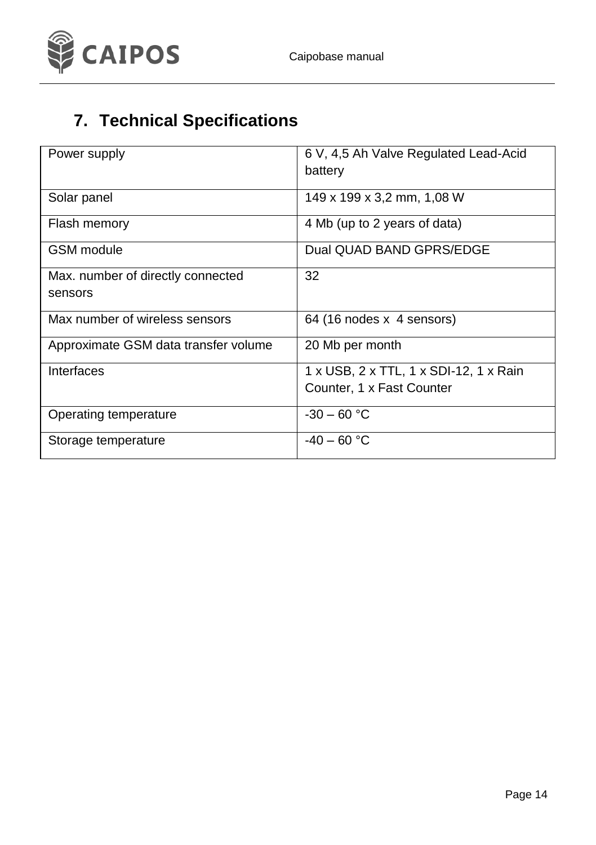

# **7. Technical Specifications**

| Power supply                         | 6 V, 4,5 Ah Valve Regulated Lead-Acid<br>battery |
|--------------------------------------|--------------------------------------------------|
| Solar panel                          | 149 x 199 x 3,2 mm, 1,08 W                       |
| Flash memory                         | 4 Mb (up to 2 years of data)                     |
| GSM module                           | Dual QUAD BAND GPRS/EDGE                         |
| Max. number of directly connected    | 32                                               |
| sensors                              |                                                  |
| Max number of wireless sensors       | 64 (16 nodes x 4 sensors)                        |
| Approximate GSM data transfer volume | 20 Mb per month                                  |
| Interfaces                           | 1 x USB, 2 x TTL, 1 x SDI-12, 1 x Rain           |
|                                      | Counter, 1 x Fast Counter                        |
| Operating temperature                | $-30 - 60 °C$                                    |
| Storage temperature                  | $-40 - 60 °C$                                    |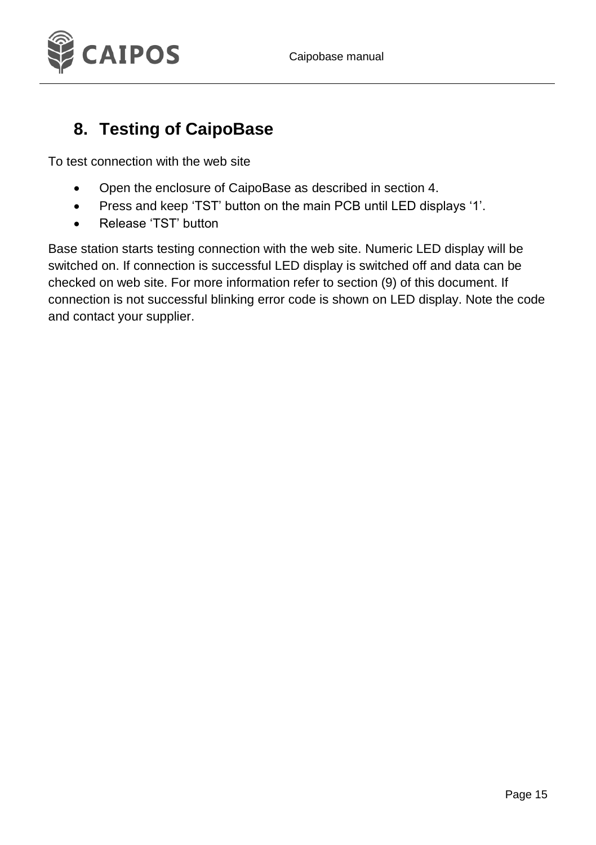

### <span id="page-14-0"></span>**8. Testing of CaipoBase**

To test connection with the web site

- Open the enclosure of CaipoBase as described in section 4.
- Press and keep 'TST' button on the main PCB until LED displays '1'.
- Release 'TST' button

Base station starts testing connection with the web site. Numeric LED display will be switched on. If connection is successful LED display is switched off and data can be checked on web site. For more information refer to section (9) of this document. If connection is not successful blinking error code is shown on LED display. Note the code and contact your supplier.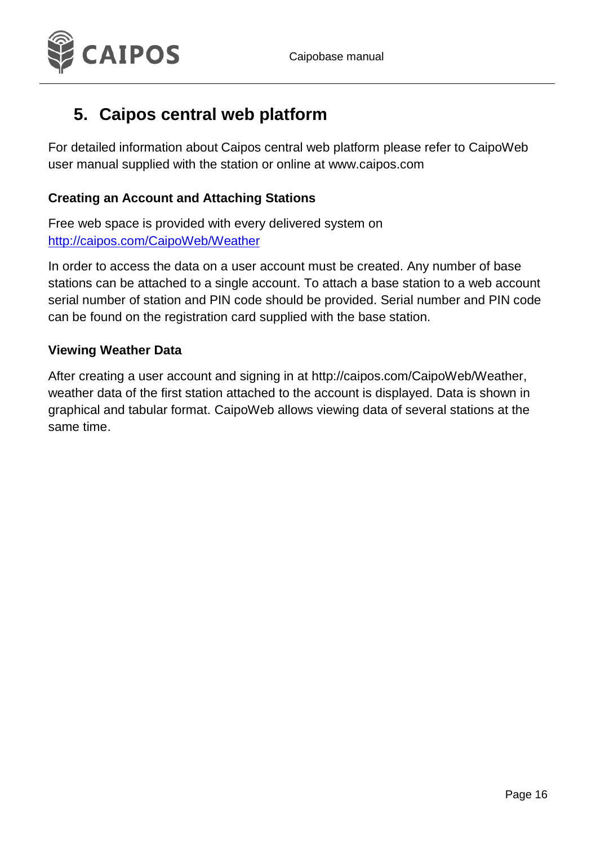

### <span id="page-15-0"></span>**5. Caipos central web platform**

For detailed information about Caipos central web platform please refer to CaipoWeb user manual supplied with the station or online at www.caipos.com

#### **Creating an Account and Attaching Stations**

Free web space is provided with every delivered system on <http://caipos.com/CaipoWeb/Weather>

In order to access the data on a user account must be created. Any number of base stations can be attached to a single account. To attach a base station to a web account serial number of station and PIN code should be provided. Serial number and PIN code can be found on the registration card supplied with the base station.

#### **Viewing Weather Data**

After creating a user account and signing in a[t http://caipos.com/CaipoWeb/Weather,](http://caipos.com/CaipoWeb/Weather/index) weather data of the first station attached to the account is displayed. Data is shown in graphical and tabular format. CaipoWeb allows viewing data of several stations at the same time.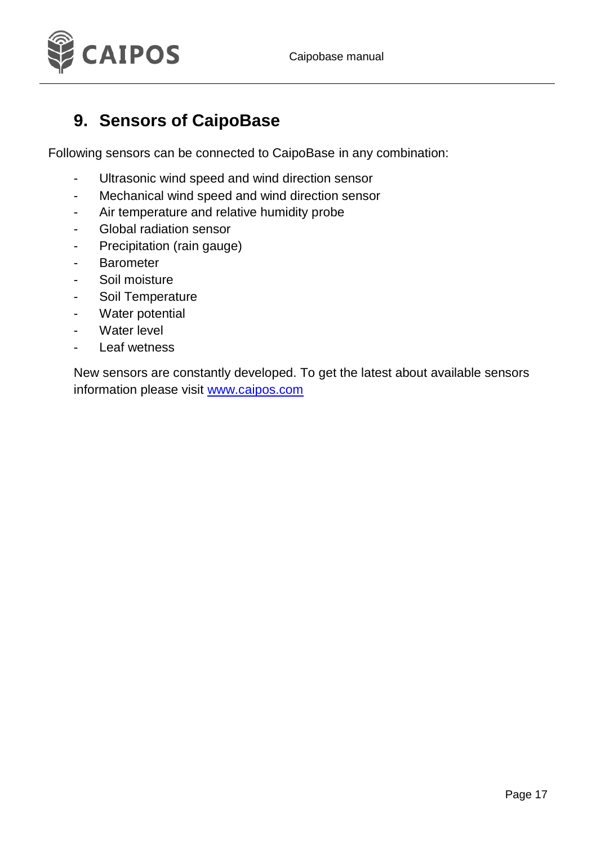

#### <span id="page-16-0"></span>**9. Sensors of CaipoBase**

Following sensors can be connected to CaipoBase in any combination:

- Ultrasonic wind speed and wind direction sensor
- Mechanical wind speed and wind direction sensor
- Air temperature and relative humidity probe
- Global radiation sensor
- Precipitation (rain gauge)
- Barometer
- Soil moisture
- Soil Temperature
- Water potential
- Water level
- Leaf wetness

New sensors are constantly developed. To get the latest about available sensors information please visit [www.caipos.com](http://www.caipos.com/)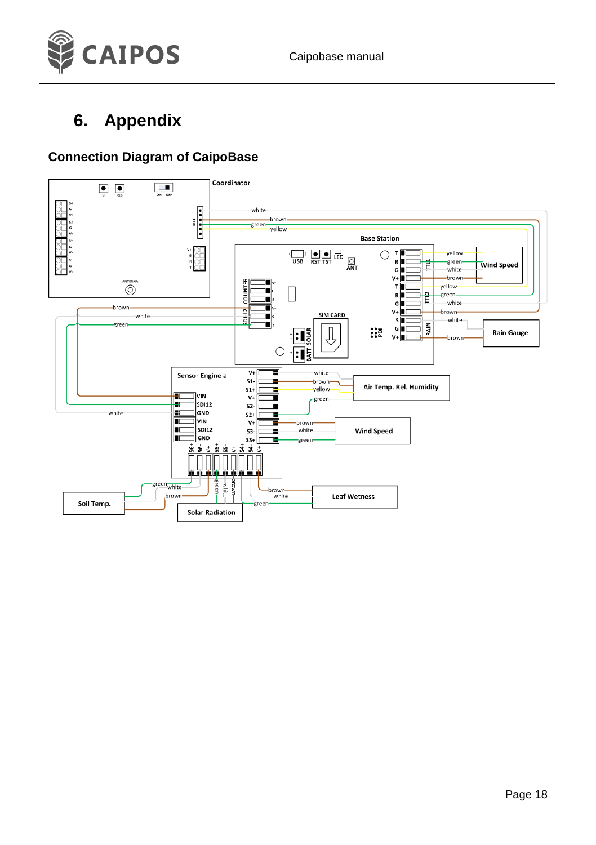

### <span id="page-17-0"></span>**6. Appendix**

#### **Connection Diagram of CaipoBase**